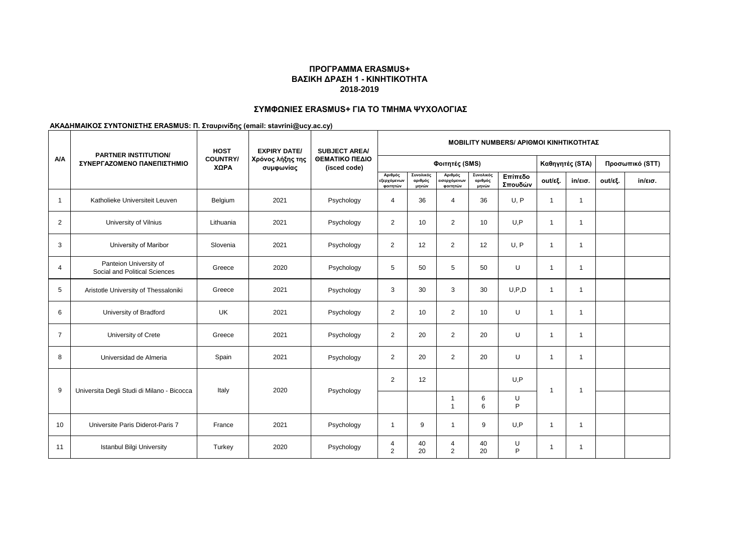# **ΣΥΜΦΩΝΙΕΣ ERASMUS+ ΓΙΑ ΤΟ ΤΜΗΜΑ ΨΥΧΟΛΟΓΙΑΣ**

|                | <b>PARTNER INSTITUTION/</b>                             | <b>HOST</b>             | <b>EXPIRY DATE/</b>           | <b>SUBJECT AREA/</b>           |                                    |                               |                                            |                               | <b>ΜΟΒΙLITY NUMBERS/ ΑΡΙΘΜΟΙ ΚΙΝΗΤΙΚΟΤΗΤΑΣ</b> |                |                   |         |                   |  |  |  |
|----------------|---------------------------------------------------------|-------------------------|-------------------------------|--------------------------------|------------------------------------|-------------------------------|--------------------------------------------|-------------------------------|------------------------------------------------|----------------|-------------------|---------|-------------------|--|--|--|
| A/A            | ΣΥΝΕΡΓΑΖΟΜΕΝΟ ΠΑΝΕΠΙΣΤΗΜΙΟ                              | <b>COUNTRY/</b><br>ΧΩΡΑ | Χρόνος λήξης της<br>συμφωνίας | ΘΕΜΑΤΙΚΟ ΠΕΔΙΟ<br>(isced code) |                                    |                               | Φοιτητές (SMS)                             |                               |                                                |                | Καθηγητές (STA)   |         | Προσωπικό (STT)   |  |  |  |
|                |                                                         |                         |                               |                                | Αριθμός<br>εξερχόμενων<br>φοιτητών | Συνολικός<br>αριθμός<br>μηνών | Αριθμός<br><b>εισερχόμενων</b><br>φοιτητών | Συνολικός<br>αριθμός<br>μηνών | Επίπεδο<br>Σπουδών                             | out/εξ.        | $in/\epsilon$ ισ. | out/εξ. | $in/\epsilon$ ισ. |  |  |  |
| $\overline{1}$ | Katholieke Universiteit Leuven                          | Belgium                 | 2021                          | Psychology                     | 4                                  | 36                            | $\overline{4}$                             | 36                            | U, P                                           | $\overline{1}$ | $\mathbf{1}$      |         |                   |  |  |  |
| 2              | University of Vilnius                                   | Lithuania               | 2021                          | Psychology                     | 2                                  | 10                            | 2                                          | 10                            | U, P                                           | $\overline{1}$ | $\mathbf{1}$      |         |                   |  |  |  |
| 3              | University of Maribor                                   | Slovenia                | 2021                          | Psychology                     | $\overline{2}$                     | 12                            | $\overline{2}$                             | 12                            | U, P                                           | $\overline{1}$ | $\mathbf{1}$      |         |                   |  |  |  |
| $\overline{4}$ | Panteion University of<br>Social and Political Sciences | Greece                  | 2020                          | Psychology                     | 5                                  | 50                            | 5                                          | 50                            | U                                              | $\overline{1}$ | $\mathbf{1}$      |         |                   |  |  |  |
| 5              | Aristotle University of Thessaloniki                    | Greece                  | 2021                          | Psychology                     | 3                                  | 30                            | 3                                          | 30                            | U, P, D                                        | $\overline{1}$ | $\mathbf{1}$      |         |                   |  |  |  |
| 6              | University of Bradford                                  | <b>UK</b>               | 2021                          | Psychology                     | 2                                  | 10                            | 2                                          | 10                            | U                                              | $\mathbf{1}$   | 1                 |         |                   |  |  |  |
| $\overline{7}$ | University of Crete                                     | Greece                  | 2021                          | Psychology                     | 2                                  | 20                            | $\overline{2}$                             | 20                            | U                                              | $\mathbf 1$    | 1                 |         |                   |  |  |  |
| 8              | Universidad de Almeria                                  | Spain                   | 2021                          | Psychology                     | 2                                  | 20                            | 2                                          | 20                            | U                                              | $\overline{1}$ | $\mathbf{1}$      |         |                   |  |  |  |
|                |                                                         |                         |                               |                                | $\overline{2}$                     | 12                            |                                            |                               | U, P                                           | $\overline{1}$ | 1                 |         |                   |  |  |  |
| 9              | Universita Degli Studi di Milano - Bicocca              | Italy                   | 2020                          | Psychology                     |                                    |                               | -1<br>1                                    | 6<br>6                        | U<br>P                                         |                |                   |         |                   |  |  |  |
| 10             | Universite Paris Diderot-Paris 7                        | France                  | 2021                          | Psychology                     | $\mathbf 1$                        | 9                             | $\mathbf{1}$                               | 9                             | U, P                                           | $\overline{1}$ | $\mathbf{1}$      |         |                   |  |  |  |
| 11             | <b>Istanbul Bilgi University</b>                        | Turkey                  | 2020                          | Psychology                     | 4<br>2                             | 40<br>20                      | $\overline{4}$<br>$\overline{2}$           | 40<br>20                      | U<br>P                                         | $\overline{1}$ | $\mathbf{1}$      |         |                   |  |  |  |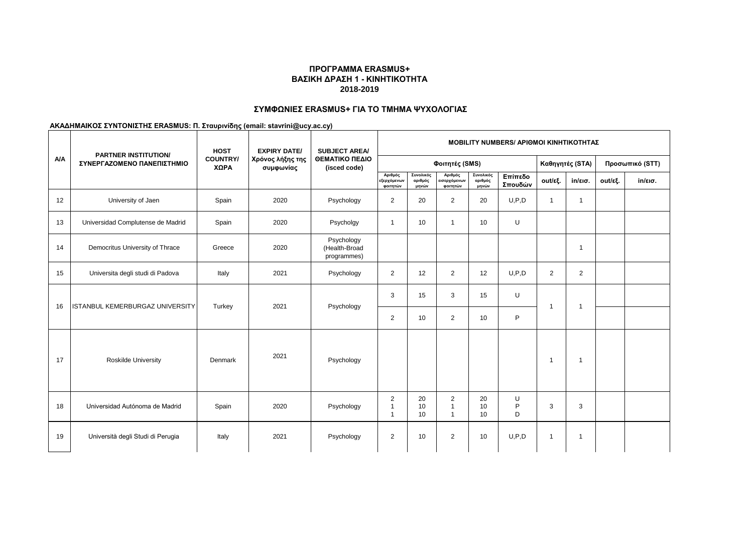## **ΣΥΜΦΩΝΙΕΣ ERASMUS+ ΓΙΑ ΤΟ ΤΜΗΜΑ ΨΥΧΟΛΟΓΙΑΣ**

|     | <b>PARTNER INSTITUTION/</b>            | <b>HOST</b>             | <b>EXPIRY DATE/</b>           | <b>SUBJECT AREA/</b>                       | <b>ΜΟΒΙLIΤΥ NUMBERS/ ΑΡΙΘΜΟΙ ΚΙΝΗΤΙΚΟΤΗΤΑΣ</b> |                               |                                                           |                               |                                    |                |                   |         |                   |
|-----|----------------------------------------|-------------------------|-------------------------------|--------------------------------------------|------------------------------------------------|-------------------------------|-----------------------------------------------------------|-------------------------------|------------------------------------|----------------|-------------------|---------|-------------------|
| A/A | ΣΥΝΕΡΓΑΖΟΜΕΝΟ ΠΑΝΕΠΙΣΤΗΜΙΟ             | <b>COUNTRY/</b><br>ΧΩΡΑ | Χρόνος λήξης της<br>συμφωνίας | ΘΕΜΑΤΙΚΟ ΠΕΔΙΟ<br>(isced code)             | Φοιτητές (SMS)                                 |                               |                                                           |                               | Καθηγητές (STA)<br>Προσωπικό (STT) |                |                   |         |                   |
|     |                                        |                         |                               |                                            | Αριθμός<br>εξερχόμενων<br>φοιτητών             | Συνολικός<br>αριθμός<br>μηνών | Αριθμός<br>.<br>εισερχόμενων<br>φοιτητών                  | Συνολικός<br>αριθμός<br>μηνών | Επίπεδο<br>Σπουδών                 | out/εξ.        | $in/\epsilon$ ισ. | out/εξ. | $in/\epsilon$ ισ. |
| 12  | University of Jaen                     | Spain                   | 2020                          | Psychology                                 | 2                                              | 20                            | $\overline{2}$                                            | 20                            | U, P, D                            | $\overline{1}$ | $\mathbf{1}$      |         |                   |
| 13  | Universidad Complutense de Madrid      | Spain                   | 2020                          | Psycholgy                                  | $\mathbf{1}$                                   | 10                            | $\overline{1}$                                            | 10                            | U                                  |                |                   |         |                   |
| 14  | Democritus University of Thrace        | Greece                  | 2020                          | Psychology<br>(Health-Broad<br>programmes) |                                                |                               |                                                           |                               |                                    |                | -1                |         |                   |
| 15  | Universita degli studi di Padova       | Italy                   | 2021                          | Psychology                                 | 2                                              | 12                            | $\overline{2}$                                            | 12                            | U, P, D                            | $\overline{2}$ | 2                 |         |                   |
| 16  | <b>ISTANBUL KEMERBURGAZ UNIVERSITY</b> | Turkey                  | 2021                          | Psychology                                 | 3                                              | 15                            | 3                                                         | 15                            | U                                  | 1              | -1                |         |                   |
|     |                                        |                         |                               |                                            | 2                                              | 10                            | $\overline{2}$                                            | 10                            | P                                  |                |                   |         |                   |
| 17  | <b>Roskilde University</b>             | Denmark                 | 2021                          | Psychology                                 |                                                |                               |                                                           |                               |                                    | $\overline{1}$ | -1                |         |                   |
| 18  | Universidad Autónoma de Madrid         | Spain                   | 2020                          | Psychology                                 | $\overline{2}$<br>$\mathbf{1}$<br>$\mathbf{1}$ | 20<br>10<br>10                | $\overline{\mathbf{c}}$<br>$\mathbf{1}$<br>$\overline{1}$ | 20<br>10<br>10                | U<br>P<br>D                        | 3              | 3                 |         |                   |
| 19  | Università degli Studi di Perugia      | Italy                   | 2021                          | Psychology                                 | 2                                              | 10                            | $\overline{2}$                                            | 10                            | U, P, D                            | $\mathbf{1}$   | $\overline{1}$    |         |                   |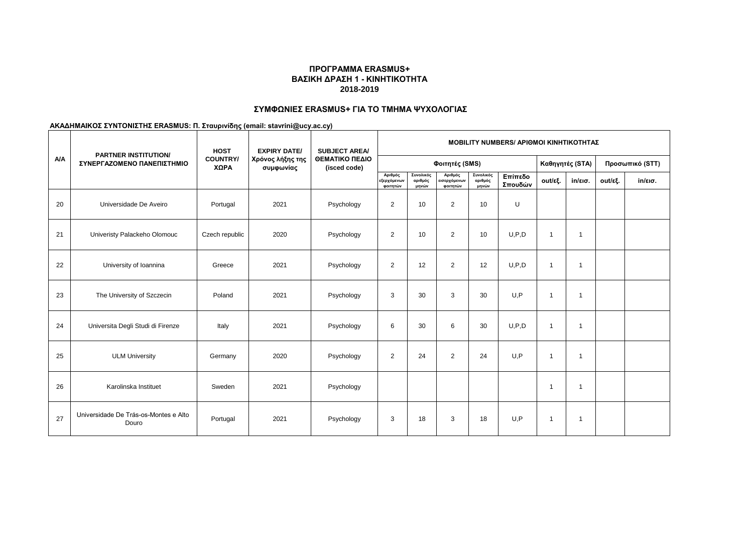# **ΣΥΜΦΩΝΙΕΣ ERASMUS+ ΓΙΑ ΤΟ ΤΜΗΜΑ ΨΥΧΟΛΟΓΙΑΣ**

|            | <b>PARTNER INSTITUTION/</b>                    | <b>HOST</b>             | <b>EXPIRY DATE/</b>           | <b>SUBJECT AREA/</b><br>ΘΕΜΑΤΙΚΟ ΠΕΔΙΟ<br>(isced code) | <b>ΜΟΒΙLITY NUMBERS/ ΑΡΙΘΜΟΙ ΚΙΝΗΤΙΚΟΤΗΤΑΣ</b> |                               |                                     |                               |                    |                         |                 |         |                   |  |  |
|------------|------------------------------------------------|-------------------------|-------------------------------|--------------------------------------------------------|------------------------------------------------|-------------------------------|-------------------------------------|-------------------------------|--------------------|-------------------------|-----------------|---------|-------------------|--|--|
| <b>A/A</b> | ΣΥΝΕΡΓΑΖΟΜΕΝΟ ΠΑΝΕΠΙΣΤΗΜΙΟ                     | <b>COUNTRY/</b><br>ΧΩΡΑ | Χρόνος λήξης της<br>συμφωνίας |                                                        |                                                |                               | Φοιτητές (SMS)                      |                               | Καθηγητές (STA)    |                         | Προσωπικό (STT) |         |                   |  |  |
|            |                                                |                         |                               |                                                        | Αριθμός<br>εξερχόμενων<br>φοιτητών             | Συνολικός<br>αριθμός<br>μηνών | Αριθμός<br>εισερχόμενων<br>φοιτητών | Συνολικός<br>αριθμός<br>μηνών | Επίπεδο<br>Σπουδών | out/εξ.                 | in/εισ.         | out/εξ. | $in/\epsilon$ ισ. |  |  |
| 20         | Universidade De Aveiro                         | Portugal                | 2021                          | Psychology                                             | $\overline{2}$                                 | 10                            | $\overline{2}$                      | 10                            | U                  |                         |                 |         |                   |  |  |
| 21         | Univeristy Palackeho Olomouc                   | Czech republic          | 2020                          | Psychology                                             | $\overline{2}$                                 | 10                            | $\overline{2}$                      | 10                            | U.P.D              | -1                      | $\mathbf 1$     |         |                   |  |  |
| 22         | University of Ioannina                         | Greece                  | 2021                          | Psychology                                             | 2                                              | 12                            | $\overline{2}$                      | 12                            | U.P.D              | $\overline{\mathbf{1}}$ |                 |         |                   |  |  |
| 23         | The University of Szczecin                     | Poland                  | 2021                          | Psychology                                             | 3                                              | 30                            | 3                                   | 30                            | U, P               | -1                      | -1              |         |                   |  |  |
| 24         | Universita Degli Studi di Firenze              | Italy                   | 2021                          | Psychology                                             | 6                                              | 30                            | 6                                   | 30                            | U, P, D            | $\overline{\mathbf{1}}$ | $\overline{1}$  |         |                   |  |  |
| 25         | <b>ULM University</b>                          | Germany                 | 2020                          | Psychology                                             | 2                                              | 24                            | $\overline{2}$                      | 24                            | U, P               | -1                      | $\mathbf 1$     |         |                   |  |  |
| 26         | Karolinska Instituet                           | Sweden                  | 2021                          | Psychology                                             |                                                |                               |                                     |                               |                    | -1                      | -1              |         |                   |  |  |
| 27         | Universidade De Trás-os-Montes e Alto<br>Douro | Portugal                | 2021                          | Psychology                                             | 3                                              | 18                            | 3                                   | 18                            | U.P                | $\overline{\mathbf{1}}$ | -1              |         |                   |  |  |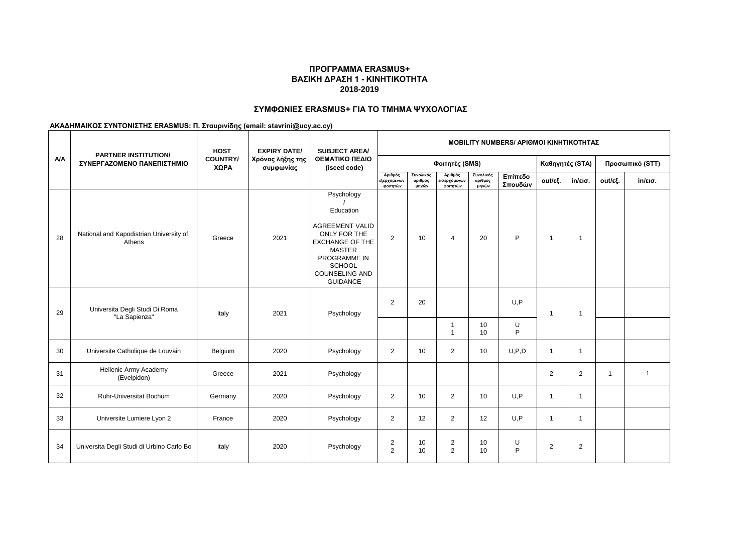# **ΣΥΜΦΩΝΙΕΣ ERASMUS+ ΓΙΑ ΤΟ ΤΜΗΜΑ ΨΥΧΟΛΟΓΙΑΣ**

|     | <b>PARTNER INSTITUTION/</b>                       | <b>HOST</b>             | <b>EXPIRY DATE/</b>           | <b>SUBJECT AREA/</b>                                                                                                                                                                             |                                    |                               |                                    |                               |                    | <b>ΜΟΒΙLITY NUMBERS/ ΑΡΙΘΜΟΙ ΚΙΝΗΤΙΚΟΤΗΤΑΣ</b> |                   |              |                   |  |
|-----|---------------------------------------------------|-------------------------|-------------------------------|--------------------------------------------------------------------------------------------------------------------------------------------------------------------------------------------------|------------------------------------|-------------------------------|------------------------------------|-------------------------------|--------------------|------------------------------------------------|-------------------|--------------|-------------------|--|
| A/A | ΣΥΝΕΡΓΑΖΟΜΕΝΟ ΠΑΝΕΠΙΣΤΗΜΙΟ                        | <b>COUNTRY/</b><br>ΧΩΡΑ | Χρόνος λήξης της<br>συμφωνίας | ΘΕΜΑΤΙΚΟ ΠΕΔΙΟ<br>(isced code)                                                                                                                                                                   | Φοιτητές (SMS)                     |                               |                                    |                               |                    |                                                | Καθηγητές (STA)   |              | Προσωπικό (STT)   |  |
|     |                                                   |                         |                               |                                                                                                                                                                                                  | Αριθμός<br>εξερχόμενων<br>φοιτητών | Συνολικός<br>αριθμός<br>μηνών | Αριθμός<br>ισερχόμενων<br>φοιτητών | Συνολικός<br>αριθμός<br>μηνών | Επίπεδο<br>Σπουδών | out/εξ.                                        | $in/\epsilon$ ισ. | out/εξ.      | $in/\epsilon$ ισ. |  |
| 28  | National and Kapodistrian University of<br>Athens | Greece                  | 2021                          | Psychology<br>Education<br><b>AGREEMENT VALID</b><br>ONLY FOR THE<br><b>EXCHANGE OF THE</b><br><b>MASTER</b><br><b>PROGRAMME IN</b><br><b>SCHOOL</b><br><b>COUNSELING AND</b><br><b>GUIDANCE</b> | $\overline{2}$                     | 10                            | $\overline{4}$                     | 20                            | P                  | $\overline{1}$                                 | -1                |              |                   |  |
| 29  | Universita Degli Studi Di Roma<br>"La Sapienza"   | Italy                   | 2021                          | Psychology                                                                                                                                                                                       | 2                                  | 20                            |                                    |                               | U, P               | $\overline{1}$                                 | $\overline{1}$    |              |                   |  |
|     |                                                   |                         |                               |                                                                                                                                                                                                  |                                    |                               | -1<br>$\overline{1}$               | 10<br>10                      | U<br>P             |                                                |                   |              |                   |  |
| 30  | Universite Catholique de Louvain                  | Belgium                 | 2020                          | Psychology                                                                                                                                                                                       | $\overline{2}$                     | 10                            | $\overline{2}$                     | 10                            | U, P, D            | $\overline{1}$                                 | $\mathbf 1$       |              |                   |  |
| 31  | Hellenic Army Academy<br>(Evelpidon)              | Greece                  | 2021                          | Psychology                                                                                                                                                                                       |                                    |                               |                                    |                               |                    | 2                                              | $\overline{2}$    | $\mathbf{1}$ | $\mathbf{1}$      |  |
| 32  | Ruhr-Universitat Bochum                           | Germany                 | 2020                          | Psychology                                                                                                                                                                                       | $\overline{2}$                     | 10                            | $\overline{2}$                     | 10                            | U, P               | $\overline{1}$                                 | $\mathbf{1}$      |              |                   |  |
| 33  | Universite Lumiere Lyon 2                         | France                  | 2020                          | Psychology                                                                                                                                                                                       | $\overline{2}$                     | 12                            | 2                                  | 12                            | U.P                | $\overline{1}$                                 | $\overline{1}$    |              |                   |  |
| 34  | Universita Degli Studi di Urbino Carlo Bo         | Italy                   | 2020                          | Psychology                                                                                                                                                                                       | 2<br>2                             | 10<br>10                      | $\overline{2}$<br>$\overline{2}$   | 10<br>10                      | U<br>P             | 2                                              | 2                 |              |                   |  |